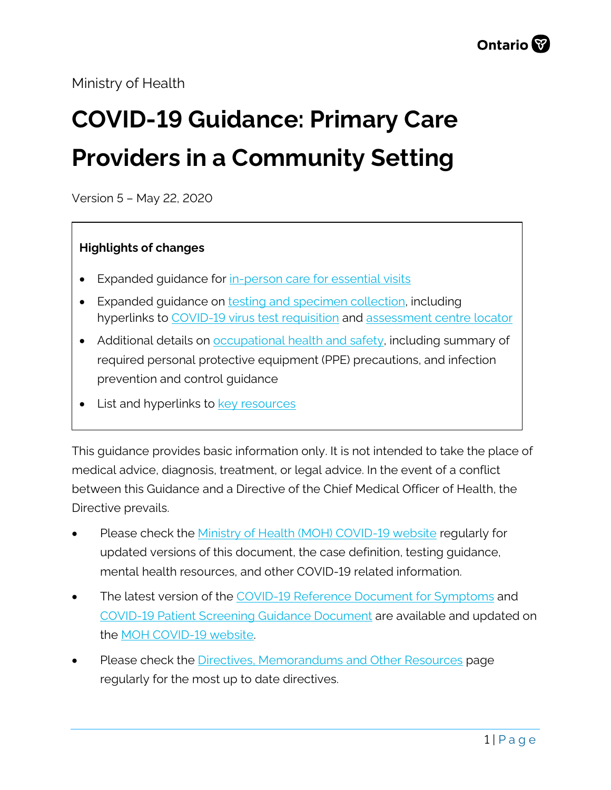## Ministry of Health

# **COVID-19 Guidance: Primary Care Providers in a Community Setting**

Version 5 – May 22, 2020

#### **Highlights of changes**

- Expanded guidance for in-person care [for essential visits](#page-1-0)
- Expanded guidance on [testing and specimen collection,](#page-5-0) including hyperlinks to [COVID-19 virus test requisition](https://www.publichealthontario.ca/-/media/documents/lab/2019-ncov-test-requisition.pdf?la=en) and [assessment centre locator](https://cep.health/insights/covid-19/)
- Additional details on **occupational health and safety**, including summary of required personal protective equipment (PPE) precautions, and infection prevention and control guidance
- List and hyperlinks to **[key resources](#page-10-0)**

This guidance provides basic information only. It is not intended to take the place of medical advice, diagnosis, treatment, or legal advice. In the event of a conflict between this Guidance and a Directive of the Chief Medical Officer of Health, the Directive prevails.

- Please check the [Ministry of Health \(MOH\) COVID-19 website](http://www.health.gov.on.ca/en/pro/programs/publichealth/coronavirus/2019_guidance.aspx) regularly for updated versions of this document, the case definition, testing guidance, mental health resources, and other COVID-19 related information.
- The latest version of the [COVID-19 Reference Document for Symptoms](http://www.health.gov.on.ca/en/pro/programs/publichealth/coronavirus/docs/2019_reference_doc_symptoms.pdf) and [COVID-19 Patient Screening Guidance Document](http://www.health.gov.on.ca/en/pro/programs/publichealth/coronavirus/docs/2019_patient_screening_guidance.pdf) are available and updated on the **MOH COVID-19** website.
- Please check the [Directives, Memorandums and Other Resources](http://www.health.gov.on.ca/en/pro/programs/publichealth/coronavirus/dir_mem_res.aspx) page regularly for the most up to date directives.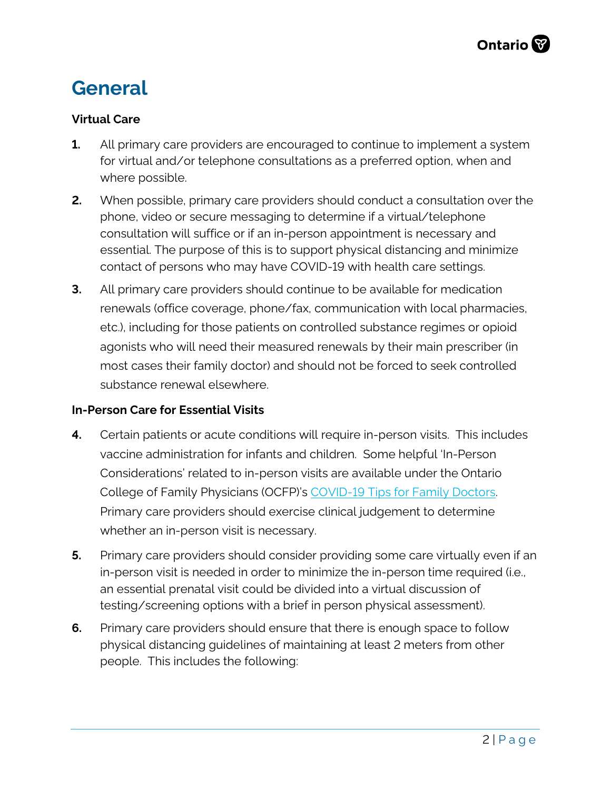# **General**

### **Virtual Care**

- **1.** All primary care providers are encouraged to continue to implement a system for virtual and/or telephone consultations as a preferred option, when and where possible.
- **2.** When possible, primary care providers should conduct a consultation over the phone, video or secure messaging to determine if a virtual/telephone consultation will suffice or if an in-person appointment is necessary and essential. The purpose of this is to support physical distancing and minimize contact of persons who may have COVID-19 with health care settings.
- **3.** All primary care providers should continue to be available for medication renewals (office coverage, phone/fax, communication with local pharmacies, etc.), including for those patients on controlled substance regimes or opioid agonists who will need their measured renewals by their main prescriber (in most cases their family doctor) and should not be forced to seek controlled substance renewal elsewhere.

#### <span id="page-1-0"></span>**In-Person Care for Essential Visits**

- **4.** Certain patients or acute conditions will require in-person visits. This includes vaccine administration for infants and children. Some helpful 'In-Person Considerations' related to in-person visits are available under the Ontario College of Family Physicians (OCFP)'s [COVID-19 Tips for Family Doctors.](https://www.ontariofamilyphysicians.ca/tools-resources/timely-trending/novel-coronavirus-2019-ncov/novel-coronavirus%3A-tips-for-family-doctors) Primary care providers should exercise clinical judgement to determine whether an in-person visit is necessary.
- **5.** Primary care providers should consider providing some care virtually even if an in-person visit is needed in order to minimize the in-person time required (i.e., an essential prenatal visit could be divided into a virtual discussion of testing/screening options with a brief in person physical assessment).
- **6.** Primary care providers should ensure that there is enough space to follow physical distancing guidelines of maintaining at least 2 meters from other people. This includes the following: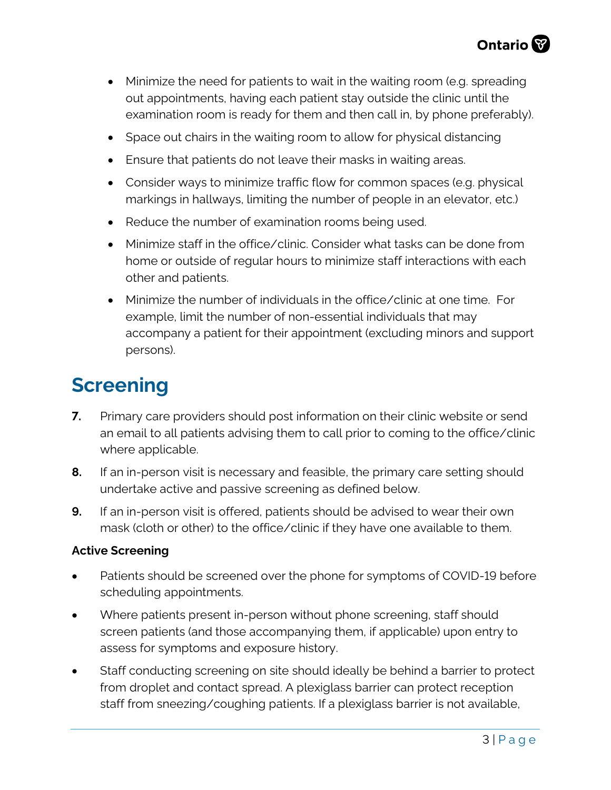- Minimize the need for patients to wait in the waiting room (e.g. spreading out appointments, having each patient stay outside the clinic until the examination room is ready for them and then call in, by phone preferably).
- Space out chairs in the waiting room to allow for physical distancing
- Ensure that patients do not leave their masks in waiting areas.
- Consider ways to minimize traffic flow for common spaces (e.g. physical markings in hallways, limiting the number of people in an elevator, etc.)
- Reduce the number of examination rooms being used.
- Minimize staff in the office/clinic. Consider what tasks can be done from home or outside of regular hours to minimize staff interactions with each other and patients.
- Minimize the number of individuals in the office/clinic at one time. For example, limit the number of non-essential individuals that may accompany a patient for their appointment (excluding minors and support persons).

# **Screening**

- **7.** Primary care providers should post information on their clinic website or send an email to all patients advising them to call prior to coming to the office/clinic where applicable.
- **8.** If an in-person visit is necessary and feasible, the primary care setting should undertake active and passive screening as defined below.
- **9.** If an in-person visit is offered, patients should be advised to wear their own mask (cloth or other) to the office/clinic if they have one available to them.

### **Active Screening**

- Patients should be screened over the phone for symptoms of COVID-19 before scheduling appointments.
- Where patients present in-person without phone screening, staff should screen patients (and those accompanying them, if applicable) upon entry to assess for symptoms and exposure history.
- Staff conducting screening on site should ideally be behind a barrier to protect from droplet and contact spread. A plexiglass barrier can protect reception staff from sneezing/coughing patients. If a plexiglass barrier is not available,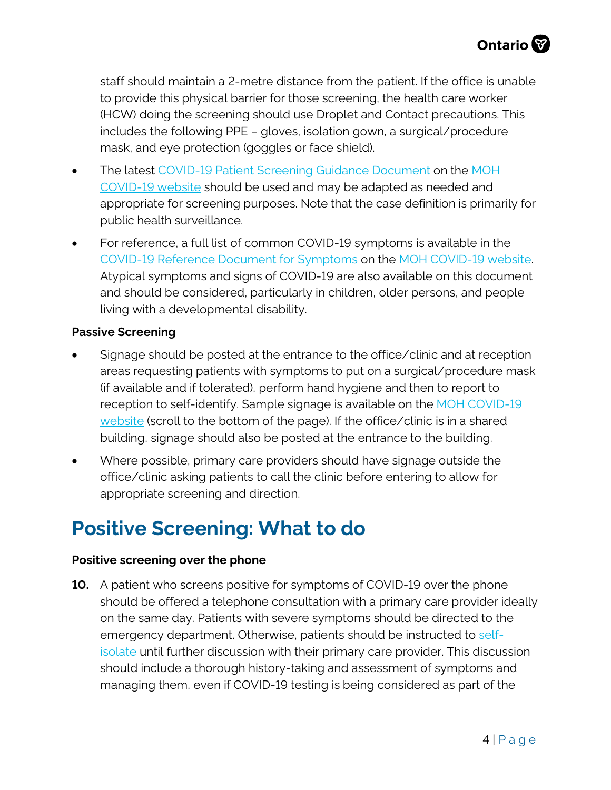staff should maintain a 2-metre distance from the patient. If the office is unable to provide this physical barrier for those screening, the health care worker (HCW) doing the screening should use Droplet and Contact precautions. This includes the following PPE – gloves, isolation gown, a surgical/procedure mask, and eye protection (goggles or face shield).

- The latest [COVID-19 Patient Screening Guidance Document](http://www.health.gov.on.ca/en/pro/programs/publichealth/coronavirus/docs/2019_patient_screening_guidance.pdf) on the [MOH](http://www.health.gov.on.ca/en/pro/programs/publichealth/coronavirus/2019_guidance.aspx) [COVID-19 website](http://www.health.gov.on.ca/en/pro/programs/publichealth/coronavirus/2019_guidance.aspx) should be used and may be adapted as needed and appropriate for screening purposes. Note that the case definition is primarily for public health surveillance.
- For reference, a full list of common COVID-19 symptoms is available in the [COVID-19 Reference Document for Symptoms](http://www.health.gov.on.ca/en/pro/programs/publichealth/coronavirus/docs/2019_reference_doc_symptoms.pdf) on the [MOH COVID-19 website.](http://www.health.gov.on.ca/en/pro/programs/publichealth/coronavirus/2019_guidance.aspx) Atypical symptoms and signs of COVID-19 are also available on this document and should be considered, particularly in children, older persons, and people living with a developmental disability.

#### **Passive Screening**

- Signage should be posted at the entrance to the office/clinic and at reception areas requesting patients with symptoms to put on a surgical/procedure mask (if available and if tolerated), perform hand hygiene and then to report to reception to self-identify. Sample signage is available on the [MOH COVID-19](http://www.health.gov.on.ca/en/pro/programs/publichealth/coronavirus/2019_guidance.aspx) [website](http://www.health.gov.on.ca/en/pro/programs/publichealth/coronavirus/2019_guidance.aspx) (scroll to the bottom of the page). If the office/clinic is in a shared building, signage should also be posted at the entrance to the building.
- Where possible, primary care providers should have signage outside the office/clinic asking patients to call the clinic before entering to allow for appropriate screening and direction.

# **Positive Screening: What to do**

#### **Positive screening over the phone**

**10.** A patient who screens positive for symptoms of COVID-19 over the phone should be offered a telephone consultation with a primary care provider ideally on the same day. Patients with severe symptoms should be directed to the emergency department. Otherwise, patients should be instructed to [self](https://www.publichealthontario.ca/-/media/documents/ncov/factsheet-covid-19-how-to-self-isolate.pdf?la=en)[isolate](https://www.publichealthontario.ca/-/media/documents/ncov/factsheet-covid-19-how-to-self-isolate.pdf?la=en) until further discussion with their primary care provider. This discussion should include a thorough history-taking and assessment of symptoms and managing them, even if COVID-19 testing is being considered as part of the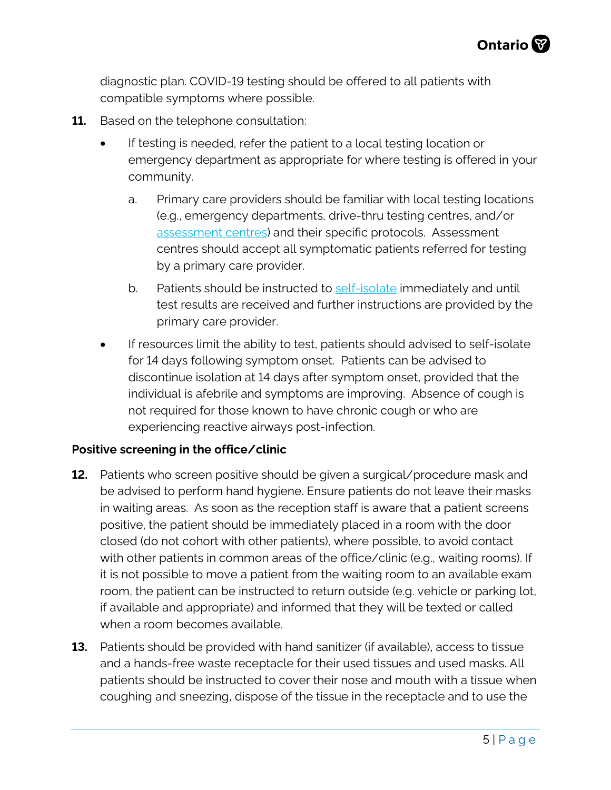diagnostic plan. COVID-19 testing should be offered to all patients with compatible symptoms where possible.

- **11.** Based on the telephone consultation:
	- If testing is needed, refer the patient to a local testing location or emergency department as appropriate for where testing is offered in your community.
		- a. Primary care providers should be familiar with local testing locations (e.g., emergency departments, drive-thru testing centres, and/or [assessment centres\)](https://cep.health/insights/covid-19/) and their specific protocols. Assessment centres should accept all symptomatic patients referred for testing by a primary care provider.
		- b. Patients should be instructed to [self-isolate](https://www.publichealthontario.ca/-/media/documents/ncov/factsheet-covid-19-how-to-self-isolate.pdf?la=en) immediately and until test results are received and further instructions are provided by the primary care provider.
	- If resources limit the ability to test, patients should advised to self-isolate for 14 days following symptom onset. Patients can be advised to discontinue isolation at 14 days after symptom onset, provided that the individual is afebrile and symptoms are improving. Absence of cough is not required for those known to have chronic cough or who are experiencing reactive airways post-infection.

#### **Positive screening in the office/clinic**

- **12.** Patients who screen positive should be given a surgical/procedure mask and be advised to perform hand hygiene. Ensure patients do not leave their masks in waiting areas. As soon as the reception staff is aware that a patient screens positive, the patient should be immediately placed in a room with the door closed (do not cohort with other patients), where possible, to avoid contact with other patients in common areas of the office/clinic (e.g., waiting rooms). If it is not possible to move a patient from the waiting room to an available exam room, the patient can be instructed to return outside (e.g. vehicle or parking lot, if available and appropriate) and informed that they will be texted or called when a room becomes available.
- **13.** Patients should be provided with hand sanitizer (if available), access to tissue and a hands-free waste receptacle for their used tissues and used masks. All patients should be instructed to cover their nose and mouth with a tissue when coughing and sneezing, dispose of the tissue in the receptacle and to use the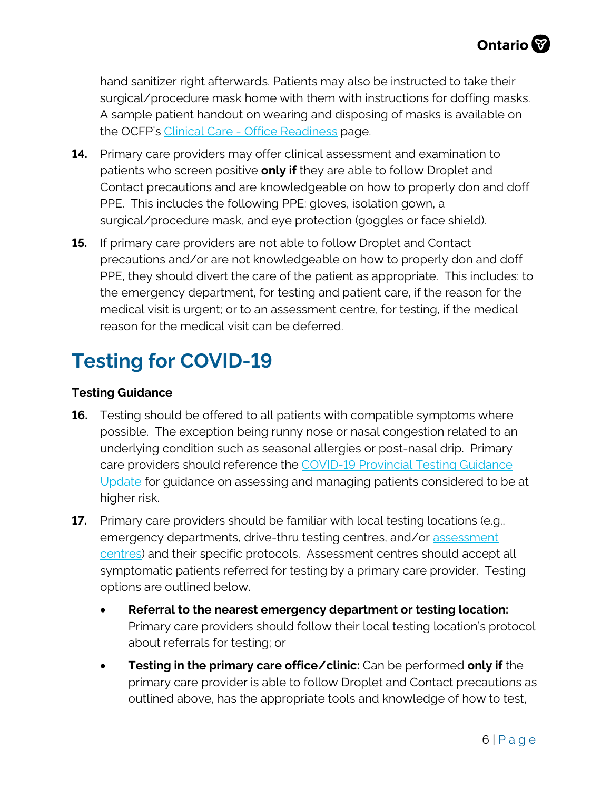hand sanitizer right afterwards. Patients may also be instructed to take their surgical/procedure mask home with them with instructions for doffing masks. A sample patient handout on wearing and disposing of masks is available on the OCFP's [Clinical Care - Office Readiness](https://www.ontariofamilyphysicians.ca/tools-resources/covid-19-resources/care-delivery-practice-management) page.

- <span id="page-5-0"></span>**14.** Primary care providers may offer clinical assessment and examination to patients who screen positive **only if** they are able to follow Droplet and Contact precautions and are knowledgeable on how to properly don and doff PPE. This includes the following PPE: gloves, isolation gown, a surgical/procedure mask, and eye protection (goggles or face shield).
- **15.** If primary care providers are not able to follow Droplet and Contact precautions and/or are not knowledgeable on how to properly don and doff PPE, they should divert the care of the patient as appropriate. This includes: to the emergency department, for testing and patient care, if the reason for the medical visit is urgent; or to an assessment centre, for testing, if the medical reason for the medical visit can be deferred.

# **Testing for COVID-19**

### **Testing Guidance**

- **16.** Testing should be offered to all patients with compatible symptoms where possible. The exception being runny nose or nasal congestion related to an underlying condition such as seasonal allergies or post-nasal drip. Primary care providers should reference the [COVID-19 Provincial Testing Guidance](http://www.health.gov.on.ca/en/pro/programs/publichealth/coronavirus/docs/2019_covid_testing_guidance.pdf) [Update](http://www.health.gov.on.ca/en/pro/programs/publichealth/coronavirus/docs/2019_covid_testing_guidance.pdf) for guidance on assessing and managing patients considered to be at higher risk.
- **17.** Primary care providers should be familiar with local testing locations (e.g., emergency departments, drive-thru testing centres, and/or [assessment](https://cep.health/insights/covid-19/) [centres\)](https://cep.health/insights/covid-19/) and their specific protocols. Assessment centres should accept all symptomatic patients referred for testing by a primary care provider. Testing options are outlined below.
	- **Referral to the nearest emergency department or testing location:** Primary care providers should follow their local testing location's protocol about referrals for testing; or
	- **Testing in the primary care office/clinic:** Can be performed **only if** the primary care provider is able to follow Droplet and Contact precautions as outlined above, has the appropriate tools and knowledge of how to test,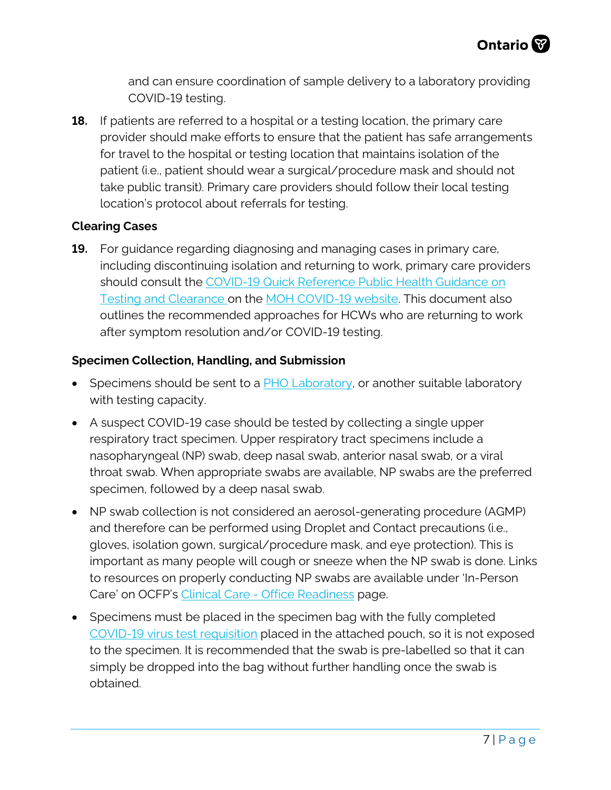and can ensure coordination of sample delivery to a laboratory providing COVID-19 testing.

**18.** If patients are referred to a hospital or a testing location, the primary care provider should make efforts to ensure that the patient has safe arrangements for travel to the hospital or testing location that maintains isolation of the patient (i.e., patient should wear a surgical/procedure mask and should not take public transit). Primary care providers should follow their local testing location's protocol about referrals for testing.

### **Clearing Cases**

**19.** For guidance regarding diagnosing and managing cases in primary care, including discontinuing isolation and returning to work, primary care providers should consult the [COVID-19 Quick Reference Public Health Guidance on](http://www.health.gov.on.ca/en/pro/programs/publichealth/coronavirus/docs/2019_testing_clearing_cases_guidance.pdf) [Testing and Clearance o](http://www.health.gov.on.ca/en/pro/programs/publichealth/coronavirus/docs/2019_testing_clearing_cases_guidance.pdf)n the [MOH COVID-19 website.](http://www.health.gov.on.ca/en/pro/programs/publichealth/coronavirus/2019_guidance.aspx) This document also outlines the recommended approaches for HCWs who are returning to work after symptom resolution and/or COVID-19 testing.

### **Specimen Collection, Handling, and Submission**

- Specimens should be sent to a **PHO Laboratory**, or another suitable laboratory with testing capacity.
- A suspect COVID-19 case should be tested by collecting a single upper respiratory tract specimen. Upper respiratory tract specimens include a nasopharyngeal (NP) swab, deep nasal swab, anterior nasal swab, or a viral throat swab. When appropriate swabs are available, NP swabs are the preferred specimen, followed by a deep nasal swab.
- NP swab collection is not considered an aerosol-generating procedure (AGMP) and therefore can be performed using Droplet and Contact precautions (i.e., gloves, isolation gown, surgical/procedure mask, and eye protection). This is important as many people will cough or sneeze when the NP swab is done. Links to resources on properly conducting NP swabs are available under 'In-Person Care' on OCFP's [Clinical Care - Office Readiness](https://www.ontariofamilyphysicians.ca/tools-resources/covid-19-resources/care-delivery-practice-management) page.
- Specimens must be placed in the specimen bag with the fully completed [COVID-19 virus test requisition](https://www.publichealthontario.ca/-/media/documents/lab/2019-ncov-test-requisition.pdf?la=en) placed in the attached pouch, so it is not exposed to the specimen. It is recommended that the swab is pre-labelled so that it can simply be dropped into the bag without further handling once the swab is obtained.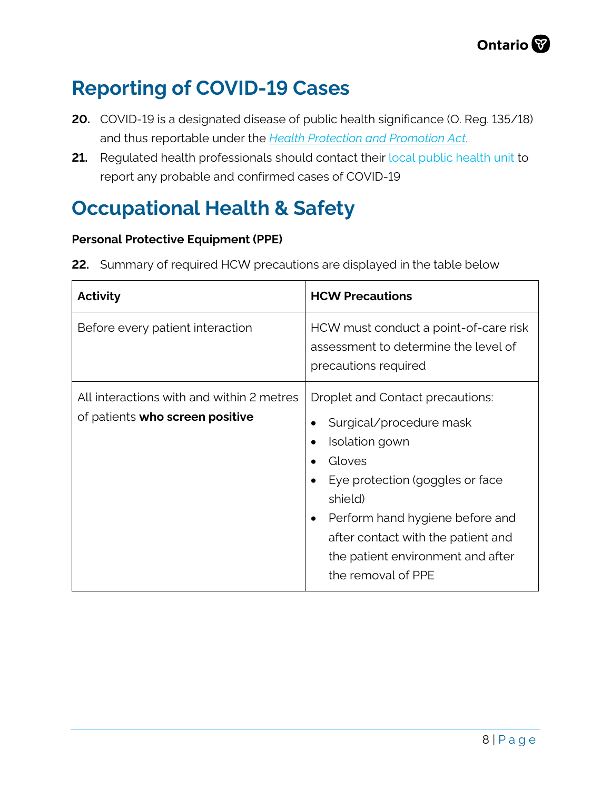# **Reporting of COVID-19 Cases**

- <span id="page-7-0"></span>**20.** COVID-19 is a designated disease of public health significance (O. Reg. 135/18) and thus reportable under the *[Health Protection and Promotion Act](https://www.ontario.ca/laws/statute/90h07)*.
- **21.** Regulated health professionals should contact their **[local public health unit](http://www.health.gov.on.ca/en/common/system/services/phu/locations.aspx)** to report any probable and confirmed cases of COVID-19

# **Occupational Health & Safety**

### **Personal Protective Equipment (PPE)**

|  | 22. Summary of required HCW precautions are displayed in the table below |  |
|--|--------------------------------------------------------------------------|--|
|  |                                                                          |  |

| Activity                                                                     | <b>HCW Precautions</b>                                                                                                                                                                                                                                                                                                        |  |
|------------------------------------------------------------------------------|-------------------------------------------------------------------------------------------------------------------------------------------------------------------------------------------------------------------------------------------------------------------------------------------------------------------------------|--|
| Before every patient interaction                                             | HCW must conduct a point-of-care risk<br>assessment to determine the level of<br>precautions required                                                                                                                                                                                                                         |  |
| All interactions with and within 2 metres<br>of patients who screen positive | Droplet and Contact precautions:<br>Surgical/procedure mask<br>Isolation gown<br>$\bullet$<br>Gloves<br>$\bullet$<br>Eye protection (goggles or face<br>$\bullet$<br>shield)<br>Perform hand hygiene before and<br>$\bullet$<br>after contact with the patient and<br>the patient environment and after<br>the removal of PPE |  |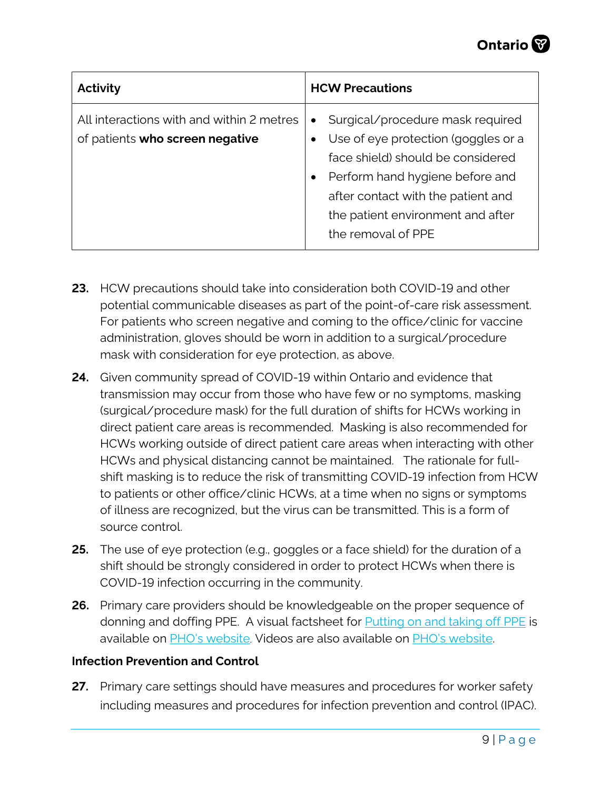| Activity                                                                     | <b>HCW Precautions</b>                                                                                                                                                                                                                                        |
|------------------------------------------------------------------------------|---------------------------------------------------------------------------------------------------------------------------------------------------------------------------------------------------------------------------------------------------------------|
| All interactions with and within 2 metres<br>of patients who screen negative | Surgical/procedure mask required<br>$\bullet$<br>Use of eye protection (goggles or a<br>face shield) should be considered<br>Perform hand hygiene before and<br>after contact with the patient and<br>the patient environment and after<br>the removal of PPE |

- **23.** HCW precautions should take into consideration both COVID-19 and other potential communicable diseases as part of the point-of-care risk assessment. For patients who screen negative and coming to the office/clinic for vaccine administration, gloves should be worn in addition to a surgical/procedure mask with consideration for eye protection, as above.
- **24.** Given community spread of COVID-19 within Ontario and evidence that transmission may occur from those who have few or no symptoms, masking (surgical/procedure mask) for the full duration of shifts for HCWs working in direct patient care areas is recommended. Masking is also recommended for HCWs working outside of direct patient care areas when interacting with other HCWs and physical distancing cannot be maintained. The rationale for fullshift masking is to reduce the risk of transmitting COVID-19 infection from HCW to patients or other office/clinic HCWs, at a time when no signs or symptoms of illness are recognized, but the virus can be transmitted. This is a form of source control.
- **25.** The use of eye protection (e.g., goggles or a face shield) for the duration of a shift should be strongly considered in order to protect HCWs when there is COVID-19 infection occurring in the community.
- **26.** Primary care providers should be knowledgeable on the proper sequence of donning and doffing PPE. A visual factsheet for **Putting [on and taking off PPE](https://www.publichealthontario.ca/-/media/documents/ncov/ipac/ppe-recommended-steps)** is available on [PHO's website](https://www.publichealthontario.ca/en/diseases-and-conditions/infectious-diseases/respiratory-diseases/novel-coronavirus/health-care-resources). Videos are also available on PHO's [website.](https://www.publichealthontario.ca/en/diseases-and-conditions/infectious-diseases/respiratory-diseases/novel-coronavirus/health-care-resources)

### **Infection Prevention and Control**

**27.** Primary care settings should have measures and procedures for worker safety including measures and procedures for infection prevention and control (IPAC).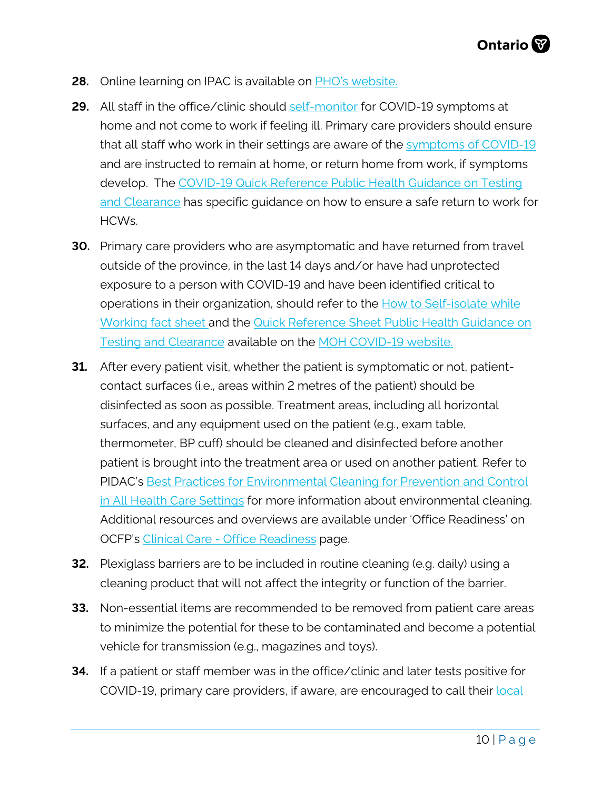- **28.** Online learning on IPAC is available on **PHO's website.**
- **29.** All staff in the office/clinic should [self-monitor](https://www.publichealthontario.ca/-/media/documents/ncov/factsheet-covid-19-self-monitor.pdf?la=en) for COVID-19 symptoms at home and not come to work if feeling ill. Primary care providers should ensure that all staff who work in their settings are aware of the [symptoms of COVID-19](http://www.health.gov.on.ca/en/pro/programs/publichealth/coronavirus/docs/2019_reference_doc_symptoms.pdf) and are instructed to remain at home, or return home from work, if symptoms develop. The [COVID-19 Quick Reference Public Health Guidance on Testing](http://www.health.gov.on.ca/en/pro/programs/publichealth/coronavirus/docs/2019_testing_clearing_cases_guidance.pdf) [and Clearance](http://www.health.gov.on.ca/en/pro/programs/publichealth/coronavirus/docs/2019_testing_clearing_cases_guidance.pdf) has specific guidance on how to ensure a safe return to work for HCWs.
- **30.** Primary care providers who are asymptomatic and have returned from travel outside of the province, in the last 14 days and/or have had unprotected exposure to a person with COVID-19 and have been identified critical to operations in their organization, should refer to the [How to Self-isolate while](https://www.publichealthontario.ca/-/media/documents/ncov/ipac/ipac-covid-19-work-self-isolation.pdf?la=en) Working [fact sheet](https://www.publichealthontario.ca/-/media/documents/ncov/ipac/ipac-covid-19-work-self-isolation.pdf?la=en) and the [Quick Reference Sheet Public Health Guidance on](http://www.health.gov.on.ca/en/pro/programs/publichealth/coronavirus/docs/2019_testing_clearing_cases_guidance.pdf) [Testing and Clearance](http://www.health.gov.on.ca/en/pro/programs/publichealth/coronavirus/docs/2019_testing_clearing_cases_guidance.pdf) available on the [MOH COVID-19 website.](http://www.health.gov.on.ca/en/pro/programs/publichealth/coronavirus/2019_guidance.aspx)
- **31.** After every patient visit, whether the patient is symptomatic or not, patientcontact surfaces (i.e., areas within 2 metres of the patient) should be disinfected as soon as possible. Treatment areas, including all horizontal surfaces, and any equipment used on the patient (e.g., exam table, thermometer, BP cuff) should be cleaned and disinfected before another patient is brought into the treatment area or used on another patient. Refer to PIDAC's [Best Practices for Environmental Cleaning for Prevention and Control](https://www.publichealthontario.ca/-/media/documents/b/2018/bp-environmental-cleaning.pdf?la=en) [in All Health Care Settings](https://www.publichealthontario.ca/-/media/documents/b/2018/bp-environmental-cleaning.pdf?la=en) for more information about environmental cleaning. Additional resources and overviews are available under 'Office Readiness' on OCFP's [Clinical Care - Office Readiness](https://www.ontariofamilyphysicians.ca/tools-resources/covid-19-resources/care-delivery-practice-management) page.
- **32.** Plexiglass barriers are to be included in routine cleaning (e.g. daily) using a cleaning product that will not affect the integrity or function of the barrier.
- **33.** Non-essential items are recommended to be removed from patient care areas to minimize the potential for these to be contaminated and become a potential vehicle for transmission (e.g., magazines and toys).
- COVID-19, primary care providers, if aware, are encouraged to call their **[local](http://www.health.gov.on.ca/en/common/system/services/phu/locations.aspx) 34.** If a patient or staff member was in the office/clinic and later tests positive for